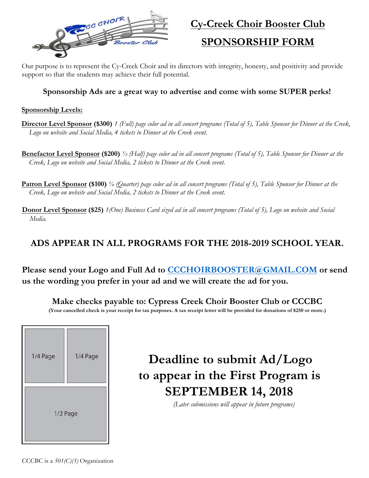

## **Cy-Creek Choir Booster Club**

## **SPONSORSHIP FORM**

Our purpose is to represent the Cy-Creek Choir and its directors with integrity, honesty, and positivity and provide support so that the students may achieve their full potential.

### **Sponsorship Ads are a great way to advertise and come with some SUPER perks!**

#### **Sponsorship Levels:**

**Director Level Sponsor (\$300)** *1 (Full) page color ad in all concert programs (Total of 5), Table Sponsor for Dinner at the Creek, Logo on website and Social Media, 4 tickets to Dinner at the Creek event.*

**Benefactor Level Sponsor (\$200)** *½ (Half) page color ad in all concert programs (Total of 5), Table Sponsor for Dinner at the Creek, Logo on website and Social Media, 2 tickets to Dinner at the Creek event.*

**Patron Level Sponsor (\$100)** *¼ (Quarter) page color ad in all concert programs (Total of 5), Table Sponsor for Dinner at the Creek, Logo on website and Social Media, 2 tickets to Dinner at the Creek event.*

**Donor Level Sponsor (\$25)** *1(One) Business Card sized ad in all concert programs (Total of 5), Logo on website and Social Media.*

## **ADS APPEAR IN ALL PROGRAMS FOR THE 2018-2019 SCHOOL YEAR.**

**Please send your Logo and Full Ad to CCCHOIRBOOSTER@GMAIL.COM or send us the wording you prefer in your ad and we will create the ad for you.**

**Make checks payable to: Cypress Creek Choir Booster Club or CCCBC**

**(Your cancelled check is your receipt for tax purposes. A tax receipt letter will be provided for donations of \$250 or more.)**



# **Deadline to submit Ad/Logo to appear in the First Program is SEPTEMBER 14, 2018**

*(Later submissions will appear in future programs)*